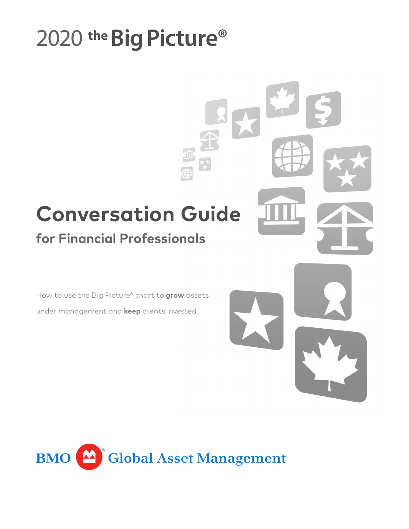# 2020 the **Big Picture®**

# **Conversation Guide**

# **for Financial Professionals**

How to use the Big Picture® chart to **grow** assets under management and **keep** clients invested



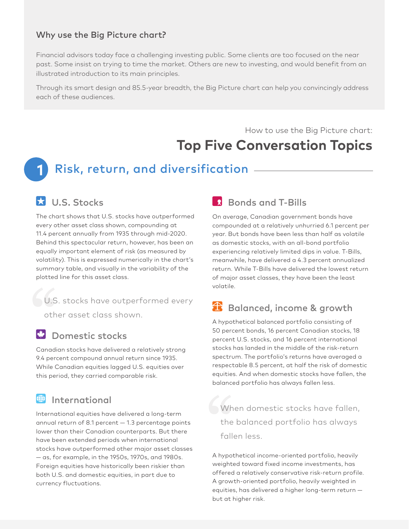### Why use the Big Picture chart?

Financial advisors today face a challenging investing public. Some clients are too focused on the near past. Some insist on trying to time the market. Others are new to investing, and would benefit from an illustrated introduction to its main principles.

Through its smart design and 85.5-year breadth, the Big Picture chart can help you convincingly address each of these audiences.

How to use the Big Picture chart:

# **Top Five Conversation Topics**

# **1** Risk, return, and diversification

### U.S. Stocks

The chart shows that U.S. stocks have outperformed every other asset class shown, compounding at 11.4 percent annually from 1935 through mid-2020. Behind this spectacular return, however, has been an equally important element of risk (as measured by volatility). This is expressed numerically in the chart's summary table, and visually in the variability of the plotted line for this asset class.

U.S. stocks have outperformed every

other asset class shown.

### **Domestic stocks**

Canadian stocks have delivered a relatively strong 9.4 percent compound annual return since 1935. While Canadian equities lagged U.S. equities over this period, they carried comparable risk.

#### (争) International

International equities have delivered a long-term annual return of 8.1 percent — 1.3 percentage points lower than their Canadian counterparts. But there have been extended periods when international stocks have outperformed other major asset classes — as, for example, in the 1950s, 1970s, and 1980s. Foreign equities have historically been riskier than both U.S. and domestic equities, in part due to currency fluctuations.

### **R** Bonds and T-Bills

On average, Canadian government bonds have compounded at a relatively unhurried 6.1 percent per year. But bonds have been less than half as volatile as domestic stocks, with an all-bond portfolio experiencing relatively limited dips in value. T-Bills, meanwhile, have delivered a 4.3 percent annualized return. While T-Bills have delivered the lowest return of major asset classes, they have been the least volatile.

## **B** Balanced, income & growth

A hypothetical balanced portfolio consisting of 50 percent bonds, 16 percent Canadian stocks, 18 percent U.S. stocks, and 16 percent international stocks has landed in the middle of the risk-return spectrum. The portfolio's returns have averaged a respectable 8.5 percent, at half the risk of domestic equities. And when domestic stocks have fallen, the balanced portfolio has always fallen less.

When domestic stocks have fallen, the balanced portfolio has always fallen less.

A hypothetical income-oriented portfolio, heavily weighted toward fixed income investments, has offered a relatively conservative risk-return profile. A growth-oriented portfolio, heavily weighted in equities, has delivered a higher long-term return but at higher risk.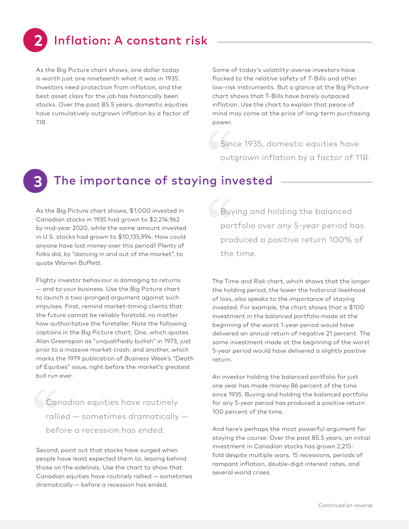# Inflation: A constant risk

As the Big Picture chart shows, one dollar today is worth just one nineteenth what it was in 1935. Investors need protection from inflation, and the best asset class for the job has historically been stocks. Over the past 85.5 years, domestic equities have cumulatively outgrown inflation by a factor of 118.

Some of today's volatility-averse investors have flocked to the relative safety of T-Bills and other low-risk instruments. But a glance at the Big Picture chart shows that T-Bills have barely outpaced inflation. Use the chart to explain that peace of mind may come at the price of long-term purchasing power.

Since 1935, domestic equities have outgrown inflation by a factor of 118.

**3**

**2**

## The importance of staying invested

As the Big Picture chart shows, \$1,000 invested in Canadian stocks in 1935 had grown to \$2,214,962 by mid-year 2020, while the same amount invested in U.S. stocks had grown to \$10,135,994. How could anyone have lost money over this period? Plenty of folks did, by "dancing in and out of the market", to quote Warren Buffett.

Flighty investor behaviour is damaging to returns — and to your business. Use the Big Picture chart to launch a two-pronged argument against such impulses. First, remind market-timing clients that the future cannot be reliably foretold, no matter how authoritative the foreteller. Note the following captions in the Big Picture chart: One, which quotes Alan Greenspan as "unqualifiedly bullish" in 1973, just prior to a massive market crash, and another, which marks the 1979 publication of *Business Week's* "Death of Equities" issue, right before the market's greatest bull run ever.

Canadian equities have routinely rallied — sometimes dramatically before a recession has ended.

Second, point out that stocks have surged when people have least expected them to, leaving behind those on the sidelines. Use the chart to show that Canadian equities have routinely rallied — sometimes dramatically — before a recession has ended.

Buying and holding the balanced portfolio over any 5-year period has produced a positive return 100% of the time.

The Time and Risk chart, which shows that the longer the holding period, the lower the historical likelihood of loss, also speaks to the importance of staying invested. For example, the chart shows that a \$100 investment in the balanced portfolio made at the beginning of the worst 1-year period would have delivered an annual return of negative 21 percent. The same investment made at the beginning of the worst 5-year period would have delivered a slightly *positive* return.

An investor holding the balanced portfolio for just one year has made money 86 percent of the time since 1935. Buying and holding the balanced portfolio for any 5-year period has produced a positive return 100 percent of the time.

And here's perhaps the most powerful argument for staying the course: Over the past 85.5 years, an initial investment in Canadian stocks has grown 2,215 fold despite multiple wars, 15 recessions, periods of rampant inflation, double-digit interest rates, and several world crises.